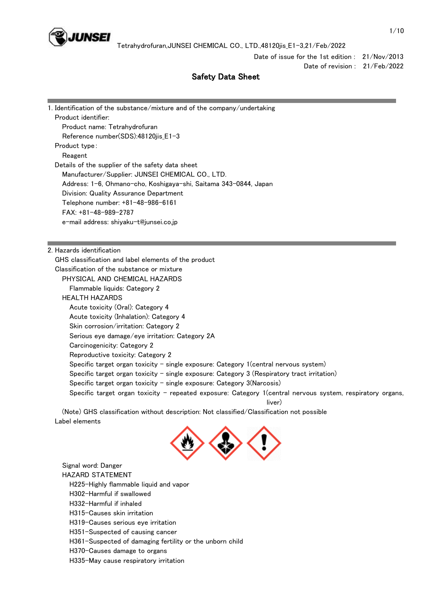

Date of issue for the 1st edition : 21/Nov/2013

Date of revision : 21/Feb/2022

system, respiratory organs,

# Safety Data Sheet

| 1. Identification of the substance/mixture and of the company/undertaking                      |
|------------------------------------------------------------------------------------------------|
| Product identifier:                                                                            |
| Product name: Tetrahydrofuran                                                                  |
| Reference number(SDS):48120jis_E1-3                                                            |
| Product type:                                                                                  |
| Reagent                                                                                        |
| Details of the supplier of the safety data sheet                                               |
| Manufacturer/Supplier: JUNSEI CHEMICAL CO., LTD.                                               |
| Address: 1-6, Ohmano-cho, Koshigaya-shi, Saitama 343-0844, Japan                               |
| Division: Quality Assurance Department                                                         |
| Telephone number: +81-48-986-6161                                                              |
| $FAX: +81-48-989-2787$                                                                         |
| e-mail address: shiyaku-t@junsei.co.jp                                                         |
|                                                                                                |
|                                                                                                |
| 2. Hazards identification                                                                      |
| GHS classification and label elements of the product                                           |
| Classification of the substance or mixture                                                     |
| PHYSICAL AND CHEMICAL HAZARDS                                                                  |
| Flammable liquids: Category 2                                                                  |
| <b>HEALTH HAZARDS</b>                                                                          |
| Acute toxicity (Oral): Category 4                                                              |
| Acute toxicity (Inhalation): Category 4                                                        |
| Skin corrosion/irritation: Category 2                                                          |
| Serious eye damage/eye irritation: Category 2A                                                 |
| Carcinogenicity: Category 2                                                                    |
| Reproductive toxicity: Category 2                                                              |
| Specific target organ toxicity - single exposure: Category 1(central nervous system)           |
| Specific target organ toxicity - single exposure: Category 3 (Respiratory tract irritation)    |
| Specific target organ toxicity $-$ single exposure: Category 3(Narcosis)                       |
| Specific target organ toxicity - repeated exposure: Category 1(central nervous syste<br>liver) |
| (Note) GHS classification without description: Not classified/Classification not possible      |
| Label elements                                                                                 |
|                                                                                                |

 Signal word: Danger HAZARD STATEMENT

H225-Highly flammable liquid and vapor

H302-Harmful if swallowed

- H332-Harmful if inhaled
- H315-Causes skin irritation

H319-Causes serious eye irritation

H351-Suspected of causing cancer

H361-Suspected of damaging fertility or the unborn child

H370-Causes damage to organs

H335-May cause respiratory irritation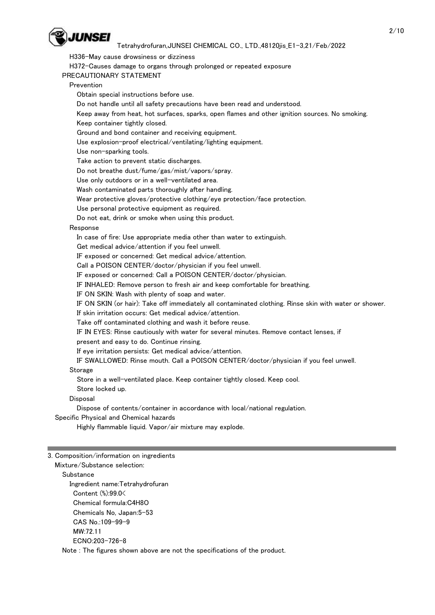

H336-May cause drowsiness or dizziness

H372-Causes damage to organs through prolonged or repeated exposure

PRECAUTIONARY STATEMENT

Prevention

Obtain special instructions before use.

Do not handle until all safety precautions have been read and understood.

 Keep away from heat, hot surfaces, sparks, open flames and other ignition sources. No smoking. Keep container tightly closed.

Ground and bond container and receiving equipment.

Use explosion-proof electrical/ventilating/lighting equipment.

Use non-sparking tools.

Take action to prevent static discharges.

Do not breathe dust/fume/gas/mist/vapors/spray.

Use only outdoors or in a well-ventilated area.

Wash contaminated parts thoroughly after handling.

Wear protective gloves/protective clothing/eye protection/face protection.

Use personal protective equipment as required.

Do not eat, drink or smoke when using this product.

### Response

In case of fire: Use appropriate media other than water to extinguish.

Get medical advice/attention if you feel unwell.

IF exposed or concerned: Get medical advice/attention.

Call a POISON CENTER/doctor/physician if you feel unwell.

IF exposed or concerned: Call a POISON CENTER/doctor/physician.

IF INHALED: Remove person to fresh air and keep comfortable for breathing.

IF ON SKIN: Wash with plenty of soap and water.

IF ON SKIN (or hair): Take off immediately all contaminated clothing. Rinse skin with water or shower.

If skin irritation occurs: Get medical advice/attention.

Take off contaminated clothing and wash it before reuse.

IF IN EYES: Rinse cautiously with water for several minutes. Remove contact lenses, if

present and easy to do. Continue rinsing.

If eye irritation persists: Get medical advice/attention.

IF SWALLOWED: Rinse mouth. Call a POISON CENTER/doctor/physician if you feel unwell.

### **Storage**

Store in a well-ventilated place. Keep container tightly closed. Keep cool.

Store locked up.

### **Disposal**

Dispose of contents/container in accordance with local/national regulation.

Specific Physical and Chemical hazards

Highly flammable liquid. Vapor/air mixture may explode.

3. Composition/information on ingredients

#### Mixture/Substance selection: Substance

 Ingredient name:Tetrahydrofuran Content (%):99.0< Chemical formula:C4H8O Chemicals No, Japan:5-53 CAS No.:109-99-9 MW:72.11 ECNO:203-726-8

Note : The figures shown above are not the specifications of the product.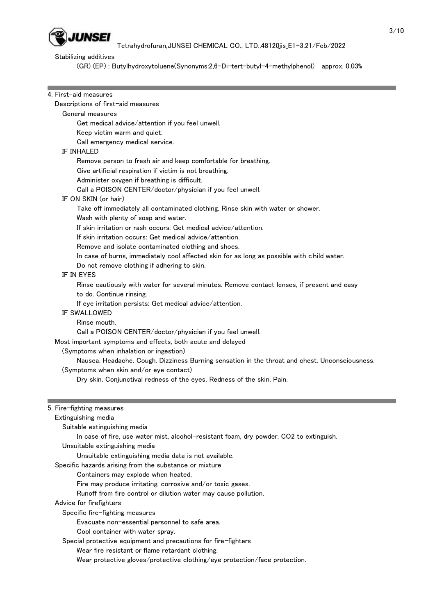

## Stabilizing additives

(GR) (EP) : Butylhydroxytoluene(Synonyms:2,6-Di-tert-butyl-4-methylphenol) approx. 0.03%

| 4. First-aid measures                                                                                  |
|--------------------------------------------------------------------------------------------------------|
| Descriptions of first-aid measures                                                                     |
| General measures                                                                                       |
| Get medical advice/attention if you feel unwell.                                                       |
| Keep victim warm and quiet.                                                                            |
| Call emergency medical service.                                                                        |
| <b>IF INHALED</b>                                                                                      |
| Remove person to fresh air and keep comfortable for breathing.                                         |
| Give artificial respiration if victim is not breathing.                                                |
| Administer oxygen if breathing is difficult.                                                           |
| Call a POISON CENTER/doctor/physician if you feel unwell.                                              |
| IF ON SKIN (or hair)                                                                                   |
| Take off immediately all contaminated clothing. Rinse skin with water or shower.                       |
| Wash with plenty of soap and water.                                                                    |
| If skin irritation or rash occurs: Get medical advice/attention.                                       |
| If skin irritation occurs: Get medical advice/attention.                                               |
| Remove and isolate contaminated clothing and shoes.                                                    |
| In case of burns, immediately cool affected skin for as long as possible with child water.             |
| Do not remove clothing if adhering to skin.                                                            |
| IF IN EYES                                                                                             |
| Rinse cautiously with water for several minutes. Remove contact lenses, if present and easy            |
| to do. Continue rinsing.                                                                               |
| If eye irritation persists: Get medical advice/attention.                                              |
| IF SWALLOWED                                                                                           |
| Rinse mouth.                                                                                           |
| Call a POISON CENTER/doctor/physician if you feel unwell.                                              |
| Most important symptoms and effects, both acute and delayed<br>(Symptoms when inhalation or ingestion) |
| Nausea. Headache. Cough. Dizziness Burning sensation in the throat and chest. Unconsciousness.         |
| (Symptoms when skin and/or eye contact)                                                                |
| Dry skin. Conjunctival redness of the eyes. Redness of the skin. Pain.                                 |
|                                                                                                        |
| 5. Fire-fighting measures                                                                              |
| Extinguishing media                                                                                    |
| Suitable extinguishing media                                                                           |
| In case of fire, use water mist, alcohol-resistant foam, dry powder, CO2 to extinguish.                |
| Unsuitable extinguishing media                                                                         |
| Unsuitable extinguishing media data is not available.                                                  |
| Specific hazards arising from the substance or mixture                                                 |
| Containers may explode when heated.                                                                    |
| Fire may produce irritating, corrosive and/or toxic gases.                                             |
| Runoff from fire control or dilution water may cause pollution.                                        |
| Advice for firefighters                                                                                |
| Specific fire-fighting measures                                                                        |
| Evacuate non-essential personnel to safe area.                                                         |
| Cool container with water spray.                                                                       |
| Special protective equipment and precautions for fire-fighters                                         |
| Wear fire resistant or flame retardant clothing.                                                       |
| Wear protective gloves/protective clothing/eye protection/face protection.                             |
|                                                                                                        |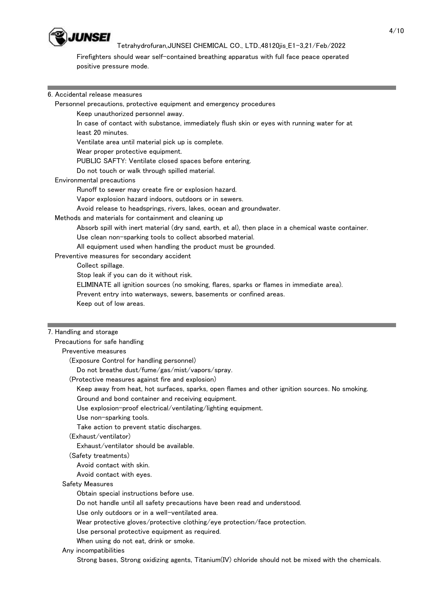

 Firefighters should wear self-contained breathing apparatus with full face peace operated positive pressure mode.

#### 6. Accidental release measures

Personnel precautions, protective equipment and emergency procedures

Keep unauthorized personnel away.

 In case of contact with substance, immediately flush skin or eyes with running water for at least 20 minutes.

Ventilate area until material pick up is complete.

Wear proper protective equipment.

PUBLIC SAFTY: Ventilate closed spaces before entering.

Do not touch or walk through spilled material.

Environmental precautions

Runoff to sewer may create fire or explosion hazard.

Vapor explosion hazard indoors, outdoors or in sewers.

Avoid release to headsprings, rivers, lakes, ocean and groundwater.

Methods and materials for containment and cleaning up

Absorb spill with inert material (dry sand, earth, et al), then place in a chemical waste container.

Use clean non-sparking tools to collect absorbed material.

All equipment used when handling the product must be grounded.

Preventive measures for secondary accident

Collect spillage.

Stop leak if you can do it without risk.

ELIMINATE all ignition sources (no smoking, flares, sparks or flames in immediate area).

Prevent entry into waterways, sewers, basements or confined areas.

Keep out of low areas.

#### 7. Handling and storage

 Precautions for safe handling Preventive measures

(Exposure Control for handling personnel)

Do not breathe dust/fume/gas/mist/vapors/spray.

(Protective measures against fire and explosion)

Keep away from heat, hot surfaces, sparks, open flames and other ignition sources. No smoking.

Ground and bond container and receiving equipment.

Use explosion-proof electrical/ventilating/lighting equipment.

Use non-sparking tools.

Take action to prevent static discharges.

(Exhaust/ventilator)

Exhaust/ventilator should be available.

(Safety treatments)

Avoid contact with skin.

Avoid contact with eyes.

#### Safety Measures

Obtain special instructions before use.

Do not handle until all safety precautions have been read and understood.

Use only outdoors or in a well-ventilated area.

Wear protective gloves/protective clothing/eye protection/face protection.

Use personal protective equipment as required.

When using do not eat, drink or smoke.

Any incompatibilities

Strong bases, Strong oxidizing agents, Titanium(IV) chloride should not be mixed with the chemicals.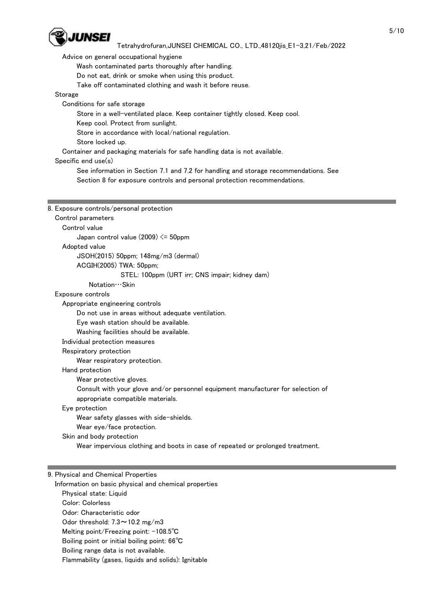

Advice on general occupational hygiene

Wash contaminated parts thoroughly after handling.

Do not eat, drink or smoke when using this product.

Take off contaminated clothing and wash it before reuse.

### Storage

Conditions for safe storage

Store in a well-ventilated place. Keep container tightly closed. Keep cool.

Keep cool. Protect from sunlight.

Store in accordance with local/national regulation.

Store locked up.

Container and packaging materials for safe handling data is not available.

### Specific end use(s)

 See information in Section 7.1 and 7.2 for handling and storage recommendations. See Section 8 for exposure controls and personal protection recommendations.

| 8. Exposure controls/personal protection                                         |
|----------------------------------------------------------------------------------|
| Control parameters                                                               |
| Control value                                                                    |
| Japan control value $(2009) \le 50$ ppm                                          |
| Adopted value                                                                    |
| JSOH(2015) 50ppm; 148mg/m3 (dermal)                                              |
| ACGIH(2005) TWA: 50ppm;                                                          |
| STEL: 100ppm (URT irr; CNS impair; kidney dam)                                   |
| $Notation$ Skin                                                                  |
| Exposure controls                                                                |
| Appropriate engineering controls                                                 |
| Do not use in areas without adequate ventilation.                                |
| Eye wash station should be available.                                            |
| Washing facilities should be available.                                          |
| Individual protection measures                                                   |
| Respiratory protection                                                           |
| Wear respiratory protection.                                                     |
| Hand protection                                                                  |
| Wear protective gloves.                                                          |
| Consult with your glove and/or personnel equipment manufacturer for selection of |
| appropriate compatible materials.                                                |
| Eye protection                                                                   |
| Wear safety glasses with side-shields.                                           |
| Wear eye/face protection.                                                        |
| Skin and body protection                                                         |

Wear impervious clothing and boots in case of repeated or prolonged treatment.

## 9. Physical and Chemical Properties

 Information on basic physical and chemical properties Physical state: Liquid Color: Colorless Odor: Characteristic odor Odor threshold:  $7.3 \sim 10.2$  mg/m3 Melting point/Freezing point: -108.5℃ Boiling point or initial boiling point: 66℃ Boiling range data is not available. Flammability (gases, liquids and solids): Ignitable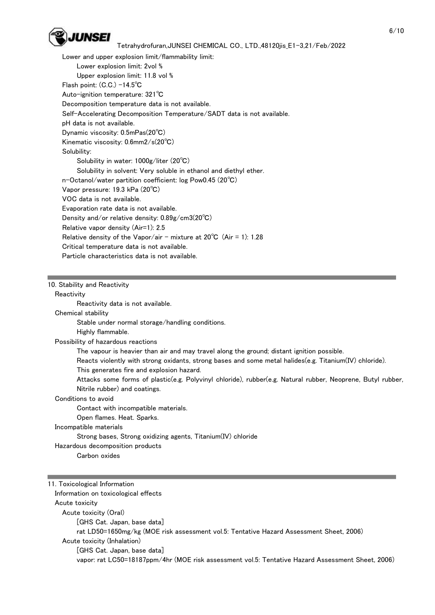

 Lower and upper explosion limit/flammability limit: Lower explosion limit: 2vol % Upper explosion limit: 11.8 vol % Flash point: (C.C.) -14.5℃ Auto-ignition temperature: 321℃ Decomposition temperature data is not available. Self-Accelerating Decomposition Temperature/SADT data is not available. pH data is not available. Dynamic viscosity: 0.5mPas(20℃) Kinematic viscosity: 0.6mm2/s(20℃) Solubility: Solubility in water: 1000g/liter (20℃) Solubility in solvent: Very soluble in ethanol and diethyl ether. n-Octanol/water partition coefficient: log Pow0.45 (20℃) Vapor pressure: 19.3 kPa (20℃) VOC data is not available. Evaporation rate data is not available. Density and/or relative density: 0.89g/cm3(20℃) Relative vapor density (Air=1): 2.5 Relative density of the Vapor/air - mixture at  $20^{\circ}$ C (Air = 1): 1.28 Critical temperature data is not available. Particle characteristics data is not available.

#### 10. Stability and Reactivity

**Reactivity** 

Reactivity data is not available.

Chemical stability

Stable under normal storage/handling conditions.

Highly flammable.

Possibility of hazardous reactions

The vapour is heavier than air and may travel along the ground; distant ignition possible.

Reacts violently with strong oxidants, strong bases and some metal halides(e.g. Titanium(IV) chloride).

This generates fire and explosion hazard.

 Attacks some forms of plastic(e.g. Polyvinyl chloride), rubber(e.g. Natural rubber, Neoprene, Butyl rubber, Nitrile rubber) and coatings.

Conditions to avoid

Contact with incompatible materials.

Open flames. Heat. Sparks.

### Incompatible materials

Strong bases, Strong oxidizing agents, Titanium(IV) chloride

Hazardous decomposition products

Carbon oxides

11. Toxicological Information Information on toxicological effects Acute toxicity Acute toxicity (Oral) [GHS Cat. Japan, base data] rat LD50=1650mg/kg (MOE risk assessment vol.5: Tentative Hazard Assessment Sheet, 2006) Acute toxicity (Inhalation) [GHS Cat. Japan, base data] vapor: rat LC50=18187ppm/4hr (MOE risk assessment vol.5: Tentative Hazard Assessment Sheet, 2006)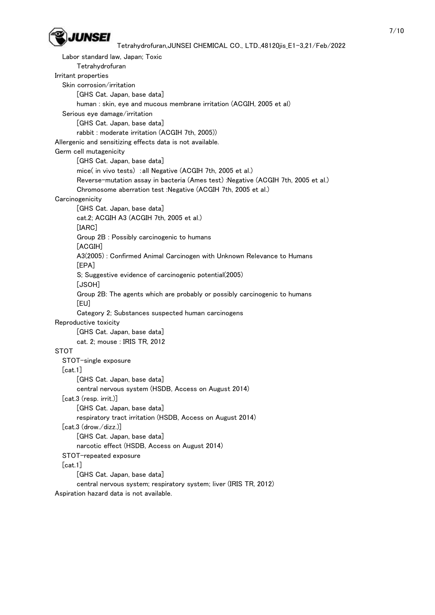

```
 Labor standard law, Japan; Toxic
        Tetrahydrofuran
 Irritant properties
   Skin corrosion/irritation
        [GHS Cat. Japan, base data]
        human : skin, eye and mucous membrane irritation (ACGIH, 2005 et al)
   Serious eye damage/irritation
        [GHS Cat. Japan, base data]
        rabbit : moderate irritation (ACGIH 7th, 2005))
 Allergenic and sensitizing effects data is not available.
 Germ cell mutagenicity
        [GHS Cat. Japan, base data]
        mice( in vivo tests) :all Negative (ACGIH 7th, 2005 et al.)
        Reverse-mutation assay in bacteria (Ames test) :Negative (ACGIH 7th, 2005 et al.)
        Chromosome aberration test :Negative (ACGIH 7th, 2005 et al.)
Carcinogenicity
        [GHS Cat. Japan, base data]
        cat.2; ACGIH A3 (ACGIH 7th, 2005 et al.)
        [IARC]
        Group 2B : Possibly carcinogenic to humans
        [ACGIH]
        A3(2005) : Confirmed Animal Carcinogen with Unknown Relevance to Humans
        [EPA]
        S; Suggestive evidence of carcinogenic potential(2005)
        [JSOH]
        Group 2B: The agents which are probably or possibly carcinogenic to humans
        [EU]
        Category 2; Substances suspected human carcinogens
 Reproductive toxicity
        [GHS Cat. Japan, base data]
        cat. 2; mouse : IRIS TR, 2012
 STOT
   STOT-single exposure
   [cat.1]
        [GHS Cat. Japan, base data]
        central nervous system (HSDB, Access on August 2014)
   [cat.3 (resp. irrit.)]
        [GHS Cat. Japan, base data]
        respiratory tract irritation (HSDB, Access on August 2014)
   [cat.3 (drow./dizz.)]
        [GHS Cat. Japan, base data]
        narcotic effect (HSDB, Access on August 2014)
   STOT-repeated exposure
   [cat.1]
        [GHS Cat. Japan, base data]
        central nervous system; respiratory system; liver (IRIS TR, 2012)
 Aspiration hazard data is not available.
```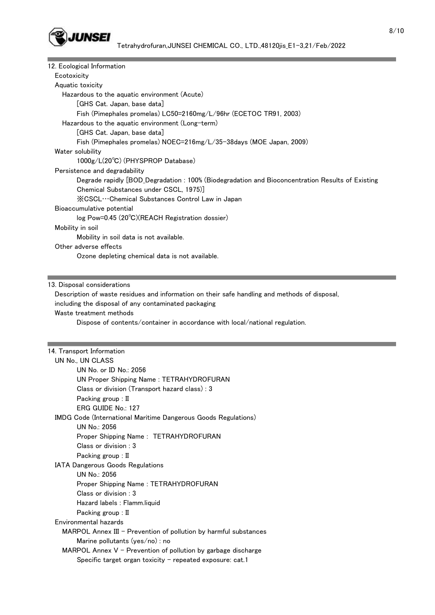

| 12. Ecological Information                                                                       |
|--------------------------------------------------------------------------------------------------|
| Ecotoxicity                                                                                      |
| Aquatic toxicity                                                                                 |
| Hazardous to the aquatic environment (Acute)                                                     |
| [GHS Cat. Japan, base data]                                                                      |
| Fish (Pimephales promelas) LC50=2160mg/L/96hr (ECETOC TR91, 2003)                                |
| Hazardous to the aquatic environment (Long-term)                                                 |
| [GHS Cat. Japan, base data]                                                                      |
| Fish (Pimephales promelas) NOEC=216mg/L/35-38days (MOE Japan, 2009)                              |
| Water solubility                                                                                 |
| 1000g/L(20°C) (PHYSPROP Database)                                                                |
| Persistence and degradability                                                                    |
| Degrade rapidly [BOD_Degradation : 100% (Biodegradation and Bioconcentration Results of Existing |
| Chemical Substances under CSCL, 1975)                                                            |
| XCSCL…Chemical Substances Control Law in Japan                                                   |
| Bioaccumulative potential                                                                        |
| log Pow=0.45 (20°C)(REACH Registration dossier)                                                  |
| Mobility in soil                                                                                 |
| Mobility in soil data is not available.                                                          |
| Other adverse effects                                                                            |
| Ozone depleting chemical data is not available.                                                  |
|                                                                                                  |

#### 13. Disposal considerations

г

 Description of waste residues and information on their safe handling and methods of disposal, including the disposal of any contaminated packaging Waste treatment methods Dispose of contents/container in accordance with local/national regulation.

## 14. Transport Information

| UN No., UN CLASS                                                      |
|-----------------------------------------------------------------------|
| UN No. or ID No.: 2056                                                |
| UN Proper Shipping Name: TETRAHYDROFURAN                              |
| Class or division (Transport hazard class) : 3                        |
| Packing group : II                                                    |
| ERG GUIDE No.: 127                                                    |
| <b>IMDG Code (International Maritime Dangerous Goods Regulations)</b> |
| UN No.: 2056                                                          |
| Proper Shipping Name: TETRAHYDROFURAN                                 |
| Class or division: 3                                                  |
| Packing group : II                                                    |
| <b>IATA Dangerous Goods Regulations</b>                               |
| UN No.: 2056                                                          |
| Proper Shipping Name: TETRAHYDROFURAN                                 |
| Class or division: 3                                                  |
| Hazard labels : Flamm.liquid                                          |
| Packing group : II                                                    |
| Environmental hazards                                                 |
| $MARPOL$ Annex III – Prevention of pollution by harmful substances    |
| Marine pollutants (yes/no) : no                                       |
| MARPOL Annex $V$ – Prevention of pollution by garbage discharge       |
| Specific target organ toxicity - repeated exposure: cat.1             |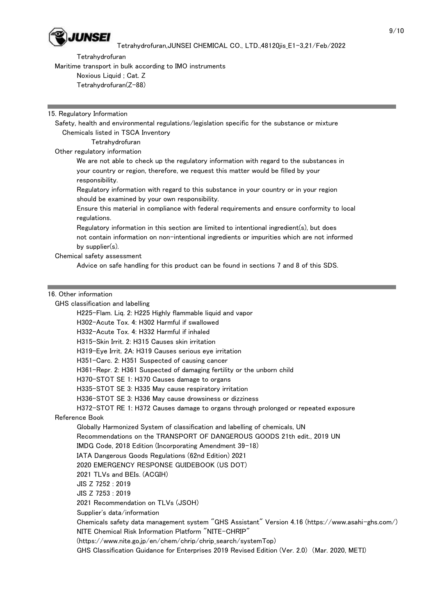

Tetrahydrofuran

Maritime transport in bulk according to IMO instruments

Noxious Liquid ; Cat. Z

Tetrahydrofuran(Z-88)

### 15. Regulatory Information

 Safety, health and environmental regulations/legislation specific for the substance or mixture Chemicals listed in TSCA Inventory

Tetrahydrofuran

Other regulatory information

 We are not able to check up the regulatory information with regard to the substances in your country or region, therefore, we request this matter would be filled by your responsibility.

 Regulatory information with regard to this substance in your country or in your region should be examined by your own responsibility.

 Ensure this material in compliance with federal requirements and ensure conformity to local regulations.

 Regulatory information in this section are limited to intentional ingredient(s), but does not contain information on non-intentional ingredients or impurities which are not informed by supplier(s).

Chemical safety assessment

Advice on safe handling for this product can be found in sections 7 and 8 of this SDS.

## 16. Other information

GHS classification and labelling

 H225-Flam. Liq. 2: H225 Highly flammable liquid and vapor H302-Acute Tox. 4: H302 Harmful if swallowed H332-Acute Tox. 4: H332 Harmful if inhaled H315-Skin Irrit. 2: H315 Causes skin irritation H319-Eye Irrit. 2A: H319 Causes serious eye irritation H351-Carc. 2: H351 Suspected of causing cancer H361-Repr. 2: H361 Suspected of damaging fertility or the unborn child H370-STOT SE 1: H370 Causes damage to organs H335-STOT SE 3: H335 May cause respiratory irritation H336-STOT SE 3: H336 May cause drowsiness or dizziness H372-STOT RE 1: H372 Causes damage to organs through prolonged or repeated exposure Reference Book Globally Harmonized System of classification and labelling of chemicals, UN Recommendations on the TRANSPORT OF DANGEROUS GOODS 21th edit., 2019 UN IMDG Code, 2018 Edition (Incorporating Amendment 39-18) IATA Dangerous Goods Regulations (62nd Edition) 2021 2020 EMERGENCY RESPONSE GUIDEBOOK (US DOT) 2021 TLVs and BEIs. (ACGIH) JIS Z 7252 : 2019 JIS Z 7253 : 2019 2021 Recommendation on TLVs (JSOH) Supplier's data/information Chemicals safety data management system "GHS Assistant" Version 4.16 (https://www.asahi-ghs.com/) NITE Chemical Risk Information Platform "NITE-CHRIP" (https://www.nite.go.jp/en/chem/chrip/chrip\_search/systemTop) GHS Classification Guidance for Enterprises 2019 Revised Edition (Ver. 2.0) (Mar. 2020, METI)